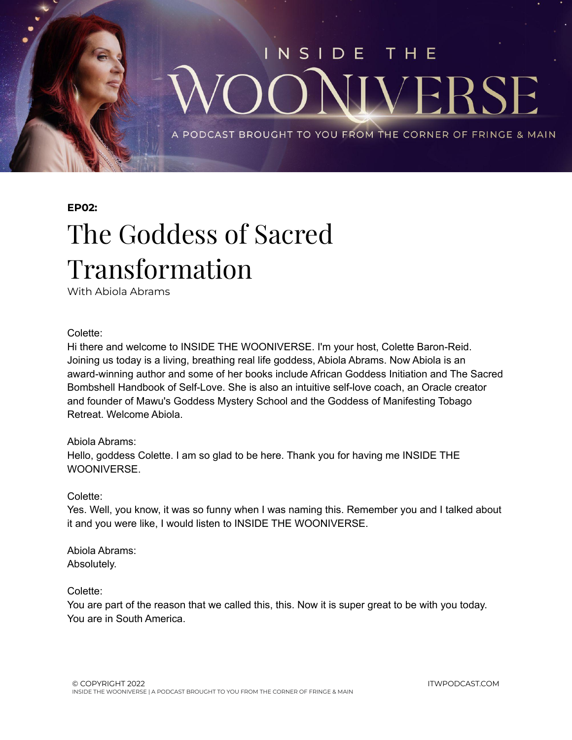

### **EP02:**

## The Goddess of Sacred Transformation

With Abiola Abrams

### Colette:

Hi there and welcome to INSIDE THE WOONIVERSE. I'm your host, Colette Baron-Reid. Joining us today is a living, breathing real life goddess, Abiola Abrams. Now Abiola is an award-winning author and some of her books include African Goddess Initiation and The Sacred Bombshell Handbook of Self-Love. She is also an intuitive self-love coach, an Oracle creator and founder of Mawu's Goddess Mystery School and the Goddess of Manifesting Tobago Retreat. Welcome Abiola.

### Abiola Abrams:

Hello, goddess Colette. I am so glad to be here. Thank you for having me INSIDE THE **WOONIVERSE** 

### Colette:

Yes. Well, you know, it was so funny when I was naming this. Remember you and I talked about it and you were like, I would listen to INSIDE THE WOONIVERSE.

Abiola Abrams: Absolutely.

### Colette:

You are part of the reason that we called this, this. Now it is super great to be with you today. You are in South America.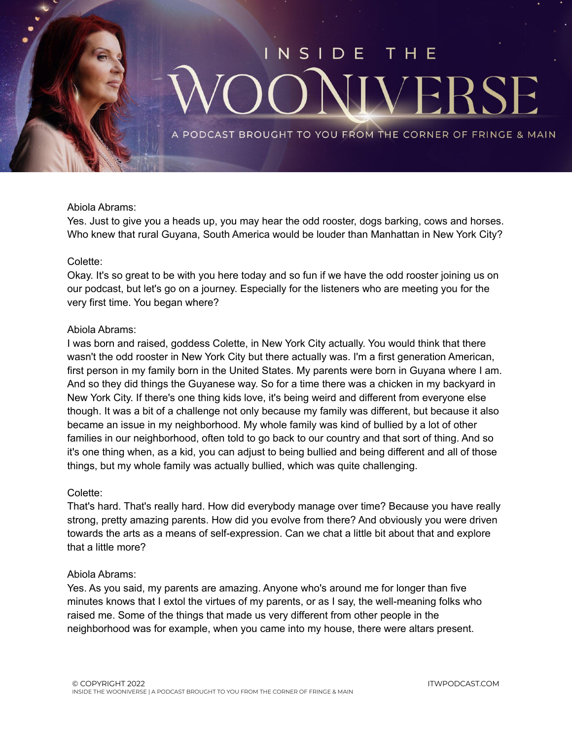

### Abiola Abrams:

Yes. Just to give you a heads up, you may hear the odd rooster, dogs barking, cows and horses. Who knew that rural Guyana, South America would be louder than Manhattan in New York City?

### Colette:

Okay. It's so great to be with you here today and so fun if we have the odd rooster joining us on our podcast, but let's go on a journey. Especially for the listeners who are meeting you for the very first time. You began where?

### Abiola Abrams:

I was born and raised, goddess Colette, in New York City actually. You would think that there wasn't the odd rooster in New York City but there actually was. I'm a first generation American, first person in my family born in the United States. My parents were born in Guyana where I am. And so they did things the Guyanese way. So for a time there was a chicken in my backyard in New York City. If there's one thing kids love, it's being weird and different from everyone else though. It was a bit of a challenge not only because my family was different, but because it also became an issue in my neighborhood. My whole family was kind of bullied by a lot of other families in our neighborhood, often told to go back to our country and that sort of thing. And so it's one thing when, as a kid, you can adjust to being bullied and being different and all of those things, but my whole family was actually bullied, which was quite challenging.

### Colette:

That's hard. That's really hard. How did everybody manage over time? Because you have really strong, pretty amazing parents. How did you evolve from there? And obviously you were driven towards the arts as a means of self-expression. Can we chat a little bit about that and explore that a little more?

### Abiola Abrams:

Yes. As you said, my parents are amazing. Anyone who's around me for longer than five minutes knows that I extol the virtues of my parents, or as I say, the well-meaning folks who raised me. Some of the things that made us very different from other people in the neighborhood was for example, when you came into my house, there were altars present.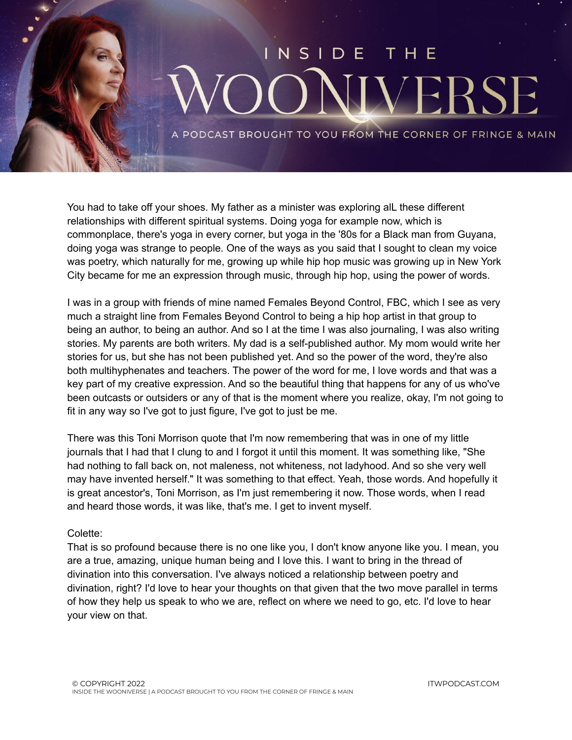

You had to take off your shoes. My father as a minister was exploring alL these different relationships with different spiritual systems. Doing yoga for example now, which is commonplace, there's yoga in every corner, but yoga in the '80s for a Black man from Guyana, doing yoga was strange to people. One of the ways as you said that I sought to clean my voice was poetry, which naturally for me, growing up while hip hop music was growing up in New York City became for me an expression through music, through hip hop, using the power of words.

I was in a group with friends of mine named Females Beyond Control, FBC, which I see as very much a straight line from Females Beyond Control to being a hip hop artist in that group to being an author, to being an author. And so I at the time I was also journaling, I was also writing stories. My parents are both writers. My dad is a self-published author. My mom would write her stories for us, but she has not been published yet. And so the power of the word, they're also both multihyphenates and teachers. The power of the word for me, I love words and that was a key part of my creative expression. And so the beautiful thing that happens for any of us who've been outcasts or outsiders or any of that is the moment where you realize, okay, I'm not going to fit in any way so I've got to just figure, I've got to just be me.

There was this Toni Morrison quote that I'm now remembering that was in one of my little journals that I had that I clung to and I forgot it until this moment. It was something like, "She had nothing to fall back on, not maleness, not whiteness, not ladyhood. And so she very well may have invented herself." It was something to that effect. Yeah, those words. And hopefully it is great ancestor's, Toni Morrison, as I'm just remembering it now. Those words, when I read and heard those words, it was like, that's me. I get to invent myself.

### Colette:

That is so profound because there is no one like you, I don't know anyone like you. I mean, you are a true, amazing, unique human being and I love this. I want to bring in the thread of divination into this conversation. I've always noticed a relationship between poetry and divination, right? I'd love to hear your thoughts on that given that the two move parallel in terms of how they help us speak to who we are, reflect on where we need to go, etc. I'd love to hear your view on that.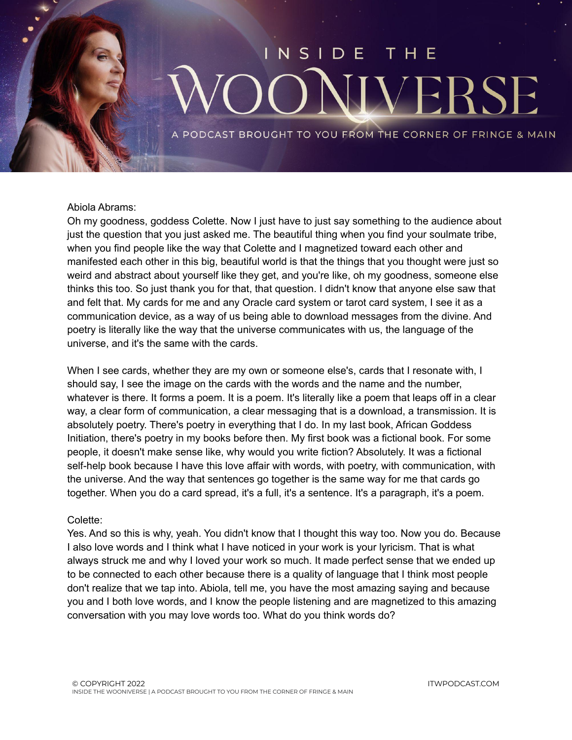# NSIDE VERS

PODCAST BROUGHT TO YOU FROM THE CORNER OF FRINGE & MAIN

### Abiola Abrams:

Oh my goodness, goddess Colette. Now I just have to just say something to the audience about just the question that you just asked me. The beautiful thing when you find your soulmate tribe, when you find people like the way that Colette and I magnetized toward each other and manifested each other in this big, beautiful world is that the things that you thought were just so weird and abstract about yourself like they get, and you're like, oh my goodness, someone else thinks this too. So just thank you for that, that question. I didn't know that anyone else saw that and felt that. My cards for me and any Oracle card system or tarot card system, I see it as a communication device, as a way of us being able to download messages from the divine. And poetry is literally like the way that the universe communicates with us, the language of the universe, and it's the same with the cards.

When I see cards, whether they are my own or someone else's, cards that I resonate with, I should say, I see the image on the cards with the words and the name and the number, whatever is there. It forms a poem. It is a poem. It's literally like a poem that leaps off in a clear way, a clear form of communication, a clear messaging that is a download, a transmission. It is absolutely poetry. There's poetry in everything that I do. In my last book, African Goddess Initiation, there's poetry in my books before then. My first book was a fictional book. For some people, it doesn't make sense like, why would you write fiction? Absolutely. It was a fictional self-help book because I have this love affair with words, with poetry, with communication, with the universe. And the way that sentences go together is the same way for me that cards go together. When you do a card spread, it's a full, it's a sentence. It's a paragraph, it's a poem.

### Colette:

Yes. And so this is why, yeah. You didn't know that I thought this way too. Now you do. Because I also love words and I think what I have noticed in your work is your lyricism. That is what always struck me and why I loved your work so much. It made perfect sense that we ended up to be connected to each other because there is a quality of language that I think most people don't realize that we tap into. Abiola, tell me, you have the most amazing saying and because you and I both love words, and I know the people listening and are magnetized to this amazing conversation with you may love words too. What do you think words do?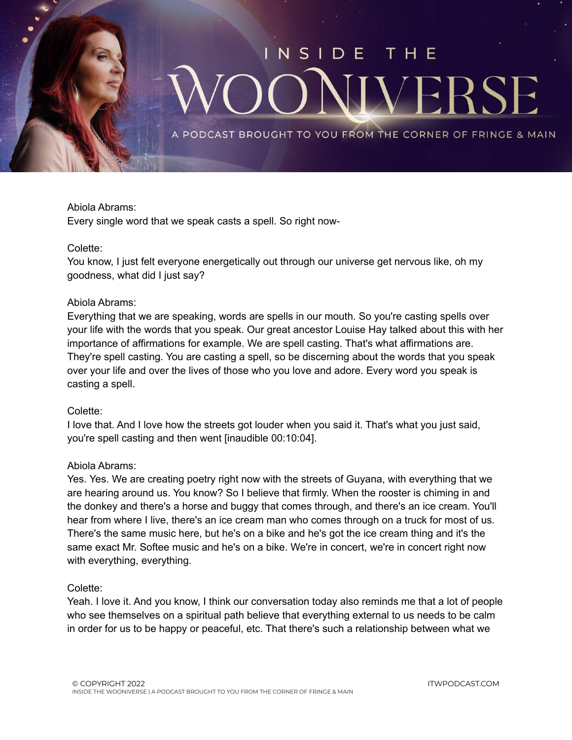

### Abiola Abrams:

Every single word that we speak casts a spell. So right now-

### Colette:

You know, I just felt everyone energetically out through our universe get nervous like, oh my goodness, what did I just say?

### Abiola Abrams:

Everything that we are speaking, words are spells in our mouth. So you're casting spells over your life with the words that you speak. Our great ancestor Louise Hay talked about this with her importance of affirmations for example. We are spell casting. That's what affirmations are. They're spell casting. You are casting a spell, so be discerning about the words that you speak over your life and over the lives of those who you love and adore. Every word you speak is casting a spell.

### Colette:

I love that. And I love how the streets got louder when you said it. That's what you just said, you're spell casting and then went [inaudible 00:10:04].

### Abiola Abrams:

Yes. Yes. We are creating poetry right now with the streets of Guyana, with everything that we are hearing around us. You know? So I believe that firmly. When the rooster is chiming in and the donkey and there's a horse and buggy that comes through, and there's an ice cream. You'll hear from where I live, there's an ice cream man who comes through on a truck for most of us. There's the same music here, but he's on a bike and he's got the ice cream thing and it's the same exact Mr. Softee music and he's on a bike. We're in concert, we're in concert right now with everything, everything.

### Colette:

Yeah. I love it. And you know, I think our conversation today also reminds me that a lot of people who see themselves on a spiritual path believe that everything external to us needs to be calm in order for us to be happy or peaceful, etc. That there's such a relationship between what we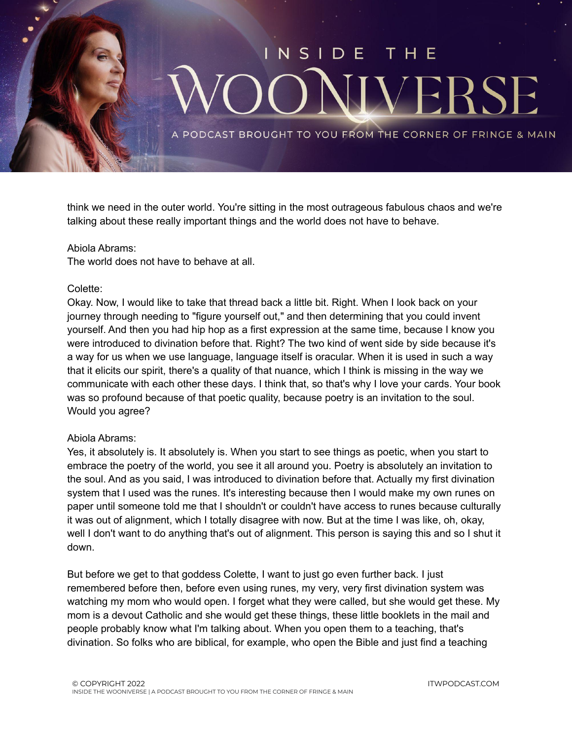

think we need in the outer world. You're sitting in the most outrageous fabulous chaos and we're talking about these really important things and the world does not have to behave.

### Abiola Abrams:

The world does not have to behave at all.

### Colette:

Okay. Now, I would like to take that thread back a little bit. Right. When I look back on your journey through needing to "figure yourself out," and then determining that you could invent yourself. And then you had hip hop as a first expression at the same time, because I know you were introduced to divination before that. Right? The two kind of went side by side because it's a way for us when we use language, language itself is oracular. When it is used in such a way that it elicits our spirit, there's a quality of that nuance, which I think is missing in the way we communicate with each other these days. I think that, so that's why I love your cards. Your book was so profound because of that poetic quality, because poetry is an invitation to the soul. Would you agree?

### Abiola Abrams:

Yes, it absolutely is. It absolutely is. When you start to see things as poetic, when you start to embrace the poetry of the world, you see it all around you. Poetry is absolutely an invitation to the soul. And as you said, I was introduced to divination before that. Actually my first divination system that I used was the runes. It's interesting because then I would make my own runes on paper until someone told me that I shouldn't or couldn't have access to runes because culturally it was out of alignment, which I totally disagree with now. But at the time I was like, oh, okay, well I don't want to do anything that's out of alignment. This person is saying this and so I shut it down.

But before we get to that goddess Colette, I want to just go even further back. I just remembered before then, before even using runes, my very, very first divination system was watching my mom who would open. I forget what they were called, but she would get these. My mom is a devout Catholic and she would get these things, these little booklets in the mail and people probably know what I'm talking about. When you open them to a teaching, that's divination. So folks who are biblical, for example, who open the Bible and just find a teaching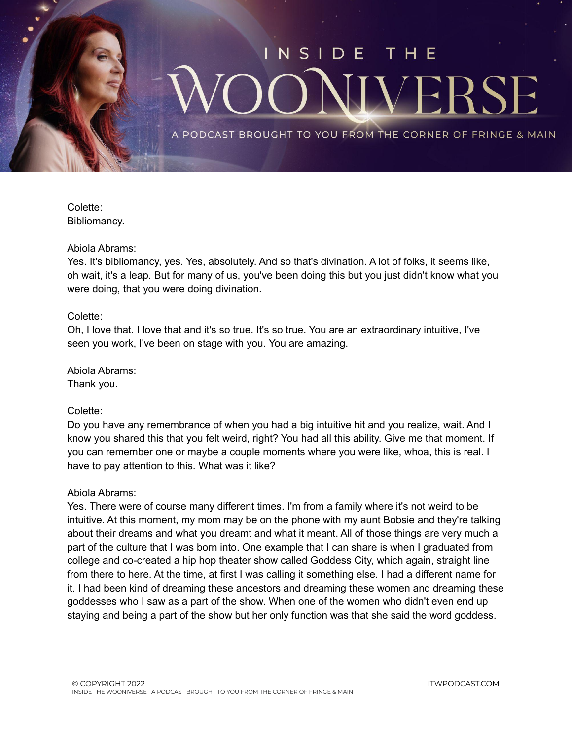

Colette: Bibliomancy.

### Abiola Abrams:

Yes. It's bibliomancy, yes. Yes, absolutely. And so that's divination. A lot of folks, it seems like, oh wait, it's a leap. But for many of us, you've been doing this but you just didn't know what you were doing, that you were doing divination.

### Colette:

Oh, I love that. I love that and it's so true. It's so true. You are an extraordinary intuitive, I've seen you work, I've been on stage with you. You are amazing.

Abiola Abrams: Thank you.

### Colette:

Do you have any remembrance of when you had a big intuitive hit and you realize, wait. And I know you shared this that you felt weird, right? You had all this ability. Give me that moment. If you can remember one or maybe a couple moments where you were like, whoa, this is real. I have to pay attention to this. What was it like?

### Abiola Abrams:

Yes. There were of course many different times. I'm from a family where it's not weird to be intuitive. At this moment, my mom may be on the phone with my aunt Bobsie and they're talking about their dreams and what you dreamt and what it meant. All of those things are very much a part of the culture that I was born into. One example that I can share is when I graduated from college and co-created a hip hop theater show called Goddess City, which again, straight line from there to here. At the time, at first I was calling it something else. I had a different name for it. I had been kind of dreaming these ancestors and dreaming these women and dreaming these goddesses who I saw as a part of the show. When one of the women who didn't even end up staying and being a part of the show but her only function was that she said the word goddess.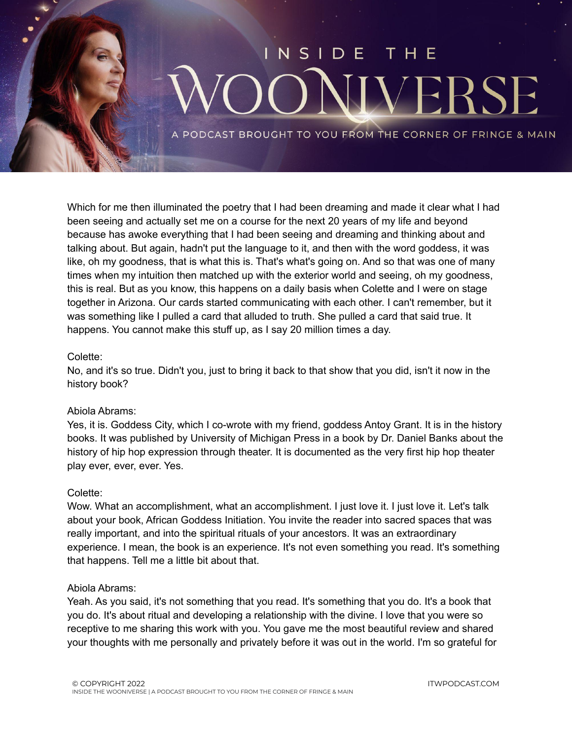

Which for me then illuminated the poetry that I had been dreaming and made it clear what I had been seeing and actually set me on a course for the next 20 years of my life and beyond because has awoke everything that I had been seeing and dreaming and thinking about and talking about. But again, hadn't put the language to it, and then with the word goddess, it was like, oh my goodness, that is what this is. That's what's going on. And so that was one of many times when my intuition then matched up with the exterior world and seeing, oh my goodness, this is real. But as you know, this happens on a daily basis when Colette and I were on stage together in Arizona. Our cards started communicating with each other. I can't remember, but it was something like I pulled a card that alluded to truth. She pulled a card that said true. It happens. You cannot make this stuff up, as I say 20 million times a day.

### Colette:

No, and it's so true. Didn't you, just to bring it back to that show that you did, isn't it now in the history book?

### Abiola Abrams:

Yes, it is. Goddess City, which I co-wrote with my friend, goddess Antoy Grant. It is in the history books. It was published by University of Michigan Press in a book by Dr. Daniel Banks about the history of hip hop expression through theater. It is documented as the very first hip hop theater play ever, ever, ever. Yes.

### Colette:

Wow. What an accomplishment, what an accomplishment. I just love it. I just love it. Let's talk about your book, African Goddess Initiation. You invite the reader into sacred spaces that was really important, and into the spiritual rituals of your ancestors. It was an extraordinary experience. I mean, the book is an experience. It's not even something you read. It's something that happens. Tell me a little bit about that.

### Abiola Abrams:

Yeah. As you said, it's not something that you read. It's something that you do. It's a book that you do. It's about ritual and developing a relationship with the divine. I love that you were so receptive to me sharing this work with you. You gave me the most beautiful review and shared your thoughts with me personally and privately before it was out in the world. I'm so grateful for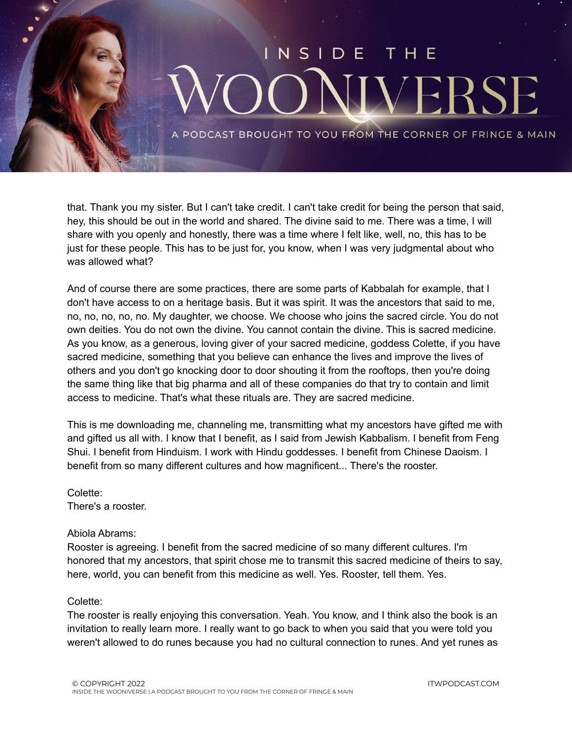

that. Thank you my sister. But I can't take credit. I can't take credit for being the person that said, hey, this should be out in the world and shared. The divine said to me. There was a time, I will share with you openly and honestly, there was a time where I felt like, well, no, this has to be just for these people. This has to be just for, you know, when I was very judgmental about who was allowed what?

And of course there are some practices, there are some parts of Kabbalah for example, that I don't have access to on a heritage basis. But it was spirit. It was the ancestors that said to me, no, no, no, no, no. My daughter, we choose. We choose who joins the sacred circle. You do not own deities. You do not own the divine. You cannot contain the divine. This is sacred medicine. As you know, as a generous, loving giver of your sacred medicine, goddess Colette, if you have sacred medicine, something that you believe can enhance the lives and improve the lives of others and you don't go knocking door to door shouting it from the rooftops, then you're doing the same thing like that big pharma and all of these companies do that try to contain and limit access to medicine. That's what these rituals are. They are sacred medicine.

This is me downloading me, channeling me, transmitting what my ancestors have gifted me with and gifted us all with. I know that I benefit, as I said from Jewish Kabbalism. I benefit from Feng Shui. I benefit from Hinduism. I work with Hindu goddesses. I benefit from Chinese Daoism. I benefit from so many different cultures and how magnificent... There's the rooster.

Colette: There's a rooster.

### Abiola Abrams:

Rooster is agreeing. I benefit from the sacred medicine of so many different cultures. I'm honored that my ancestors, that spirit chose me to transmit this sacred medicine of theirs to say, here, world, you can benefit from this medicine as well. Yes. Rooster, tell them. Yes.

### Colette:

The rooster is really enjoying this conversation. Yeah. You know, and I think also the book is an invitation to really learn more. I really want to go back to when you said that you were told you weren't allowed to do runes because you had no cultural connection to runes. And yet runes as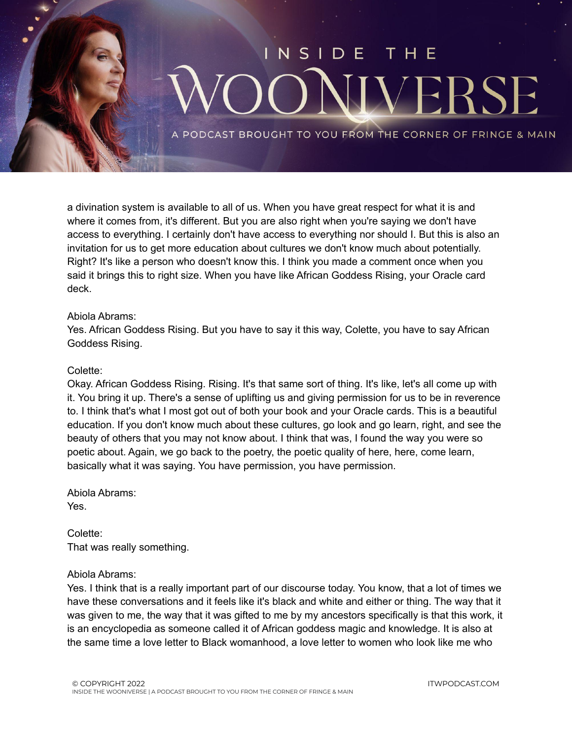

a divination system is available to all of us. When you have great respect for what it is and where it comes from, it's different. But you are also right when you're saying we don't have access to everything. I certainly don't have access to everything nor should I. But this is also an invitation for us to get more education about cultures we don't know much about potentially. Right? It's like a person who doesn't know this. I think you made a comment once when you said it brings this to right size. When you have like African Goddess Rising, your Oracle card deck.

### Abiola Abrams:

Yes. African Goddess Rising. But you have to say it this way, Colette, you have to say African Goddess Rising.

### Colette:

Okay. African Goddess Rising. Rising. It's that same sort of thing. It's like, let's all come up with it. You bring it up. There's a sense of uplifting us and giving permission for us to be in reverence to. I think that's what I most got out of both your book and your Oracle cards. This is a beautiful education. If you don't know much about these cultures, go look and go learn, right, and see the beauty of others that you may not know about. I think that was, I found the way you were so poetic about. Again, we go back to the poetry, the poetic quality of here, here, come learn, basically what it was saying. You have permission, you have permission.

Abiola Abrams: Yes.

Colette: That was really something.

### Abiola Abrams:

Yes. I think that is a really important part of our discourse today. You know, that a lot of times we have these conversations and it feels like it's black and white and either or thing. The way that it was given to me, the way that it was gifted to me by my ancestors specifically is that this work, it is an encyclopedia as someone called it of African goddess magic and knowledge. It is also at the same time a love letter to Black womanhood, a love letter to women who look like me who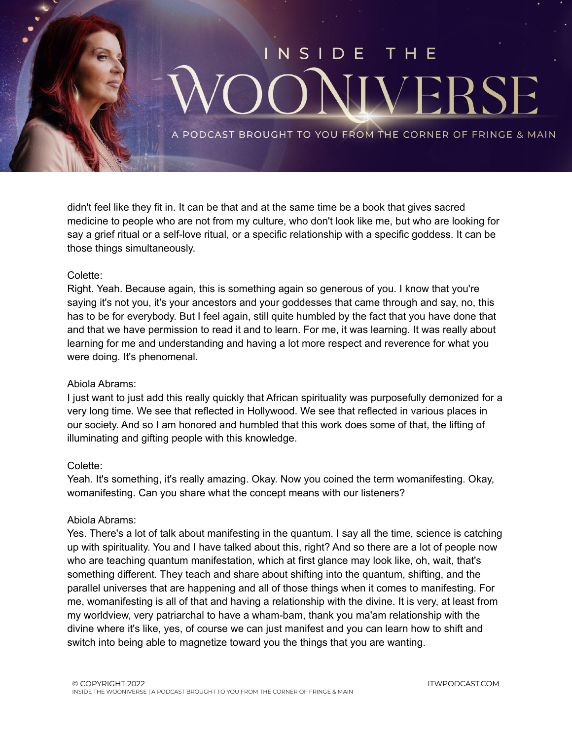

didn't feel like they fit in. It can be that and at the same time be a book that gives sacred medicine to people who are not from my culture, who don't look like me, but who are looking for say a grief ritual or a self-love ritual, or a specific relationship with a specific goddess. It can be those things simultaneously.

### Colette:

Right. Yeah. Because again, this is something again so generous of you. I know that you're saying it's not you, it's your ancestors and your goddesses that came through and say, no, this has to be for everybody. But I feel again, still quite humbled by the fact that you have done that and that we have permission to read it and to learn. For me, it was learning. It was really about learning for me and understanding and having a lot more respect and reverence for what you were doing. It's phenomenal.

### Abiola Abrams:

I just want to just add this really quickly that African spirituality was purposefully demonized for a very long time. We see that reflected in Hollywood. We see that reflected in various places in our society. And so I am honored and humbled that this work does some of that, the lifting of illuminating and gifting people with this knowledge.

### Colette:

Yeah. It's something, it's really amazing. Okay. Now you coined the term womanifesting. Okay, womanifesting. Can you share what the concept means with our listeners?

### Abiola Abrams:

Yes. There's a lot of talk about manifesting in the quantum. I say all the time, science is catching up with spirituality. You and I have talked about this, right? And so there are a lot of people now who are teaching quantum manifestation, which at first glance may look like, oh, wait, that's something different. They teach and share about shifting into the quantum, shifting, and the parallel universes that are happening and all of those things when it comes to manifesting. For me, womanifesting is all of that and having a relationship with the divine. It is very, at least from my worldview, very patriarchal to have a wham-bam, thank you ma'am relationship with the divine where it's like, yes, of course we can just manifest and you can learn how to shift and switch into being able to magnetize toward you the things that you are wanting.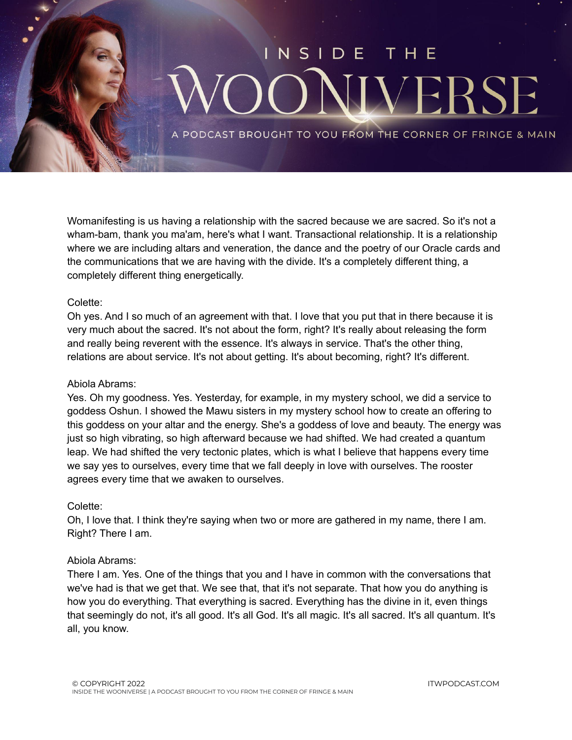

Womanifesting is us having a relationship with the sacred because we are sacred. So it's not a wham-bam, thank you ma'am, here's what I want. Transactional relationship. It is a relationship where we are including altars and veneration, the dance and the poetry of our Oracle cards and the communications that we are having with the divide. It's a completely different thing, a completely different thing energetically.

### Colette:

Oh yes. And I so much of an agreement with that. I love that you put that in there because it is very much about the sacred. It's not about the form, right? It's really about releasing the form and really being reverent with the essence. It's always in service. That's the other thing, relations are about service. It's not about getting. It's about becoming, right? It's different.

### Abiola Abrams:

Yes. Oh my goodness. Yes. Yesterday, for example, in my mystery school, we did a service to goddess Oshun. I showed the Mawu sisters in my mystery school how to create an offering to this goddess on your altar and the energy. She's a goddess of love and beauty. The energy was just so high vibrating, so high afterward because we had shifted. We had created a quantum leap. We had shifted the very tectonic plates, which is what I believe that happens every time we say yes to ourselves, every time that we fall deeply in love with ourselves. The rooster agrees every time that we awaken to ourselves.

### Colette:

Oh, I love that. I think they're saying when two or more are gathered in my name, there I am. Right? There I am.

### Abiola Abrams:

There I am. Yes. One of the things that you and I have in common with the conversations that we've had is that we get that. We see that, that it's not separate. That how you do anything is how you do everything. That everything is sacred. Everything has the divine in it, even things that seemingly do not, it's all good. It's all God. It's all magic. It's all sacred. It's all quantum. It's all, you know.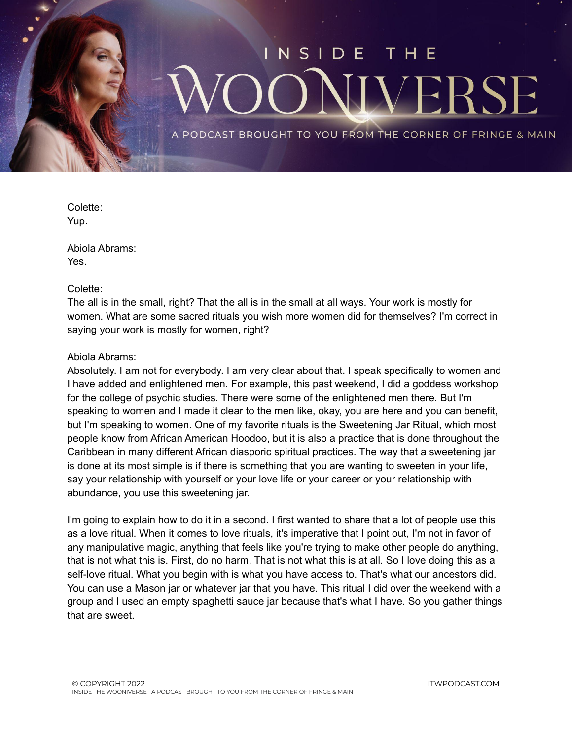

Colette: Yup.

Abiola Abrams: Yes.

Colette:

The all is in the small, right? That the all is in the small at all ways. Your work is mostly for women. What are some sacred rituals you wish more women did for themselves? I'm correct in saying your work is mostly for women, right?

### Abiola Abrams:

Absolutely. I am not for everybody. I am very clear about that. I speak specifically to women and I have added and enlightened men. For example, this past weekend, I did a goddess workshop for the college of psychic studies. There were some of the enlightened men there. But I'm speaking to women and I made it clear to the men like, okay, you are here and you can benefit, but I'm speaking to women. One of my favorite rituals is the Sweetening Jar Ritual, which most people know from African American Hoodoo, but it is also a practice that is done throughout the Caribbean in many different African diasporic spiritual practices. The way that a sweetening jar is done at its most simple is if there is something that you are wanting to sweeten in your life, say your relationship with yourself or your love life or your career or your relationship with abundance, you use this sweetening jar.

I'm going to explain how to do it in a second. I first wanted to share that a lot of people use this as a love ritual. When it comes to love rituals, it's imperative that I point out, I'm not in favor of any manipulative magic, anything that feels like you're trying to make other people do anything, that is not what this is. First, do no harm. That is not what this is at all. So I love doing this as a self-love ritual. What you begin with is what you have access to. That's what our ancestors did. You can use a Mason jar or whatever jar that you have. This ritual I did over the weekend with a group and I used an empty spaghetti sauce jar because that's what I have. So you gather things that are sweet.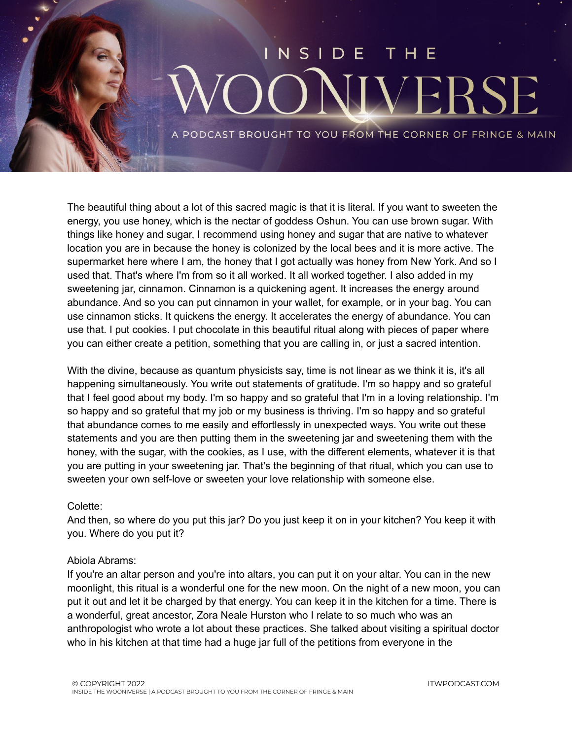### NSI DE VERS

PODCAST BROUGHT TO YOU FROM THE CORNER OF FRINGE & MAIN

The beautiful thing about a lot of this sacred magic is that it is literal. If you want to sweeten the energy, you use honey, which is the nectar of goddess Oshun. You can use brown sugar. With things like honey and sugar, I recommend using honey and sugar that are native to whatever location you are in because the honey is colonized by the local bees and it is more active. The supermarket here where I am, the honey that I got actually was honey from New York. And so I used that. That's where I'm from so it all worked. It all worked together. I also added in my sweetening jar, cinnamon. Cinnamon is a quickening agent. It increases the energy around abundance. And so you can put cinnamon in your wallet, for example, or in your bag. You can use cinnamon sticks. It quickens the energy. It accelerates the energy of abundance. You can use that. I put cookies. I put chocolate in this beautiful ritual along with pieces of paper where you can either create a petition, something that you are calling in, or just a sacred intention.

With the divine, because as quantum physicists say, time is not linear as we think it is, it's all happening simultaneously. You write out statements of gratitude. I'm so happy and so grateful that I feel good about my body. I'm so happy and so grateful that I'm in a loving relationship. I'm so happy and so grateful that my job or my business is thriving. I'm so happy and so grateful that abundance comes to me easily and effortlessly in unexpected ways. You write out these statements and you are then putting them in the sweetening jar and sweetening them with the honey, with the sugar, with the cookies, as I use, with the different elements, whatever it is that you are putting in your sweetening jar. That's the beginning of that ritual, which you can use to sweeten your own self-love or sweeten your love relationship with someone else.

### Colette:

And then, so where do you put this jar? Do you just keep it on in your kitchen? You keep it with you. Where do you put it?

### Abiola Abrams:

If you're an altar person and you're into altars, you can put it on your altar. You can in the new moonlight, this ritual is a wonderful one for the new moon. On the night of a new moon, you can put it out and let it be charged by that energy. You can keep it in the kitchen for a time. There is a wonderful, great ancestor, Zora Neale Hurston who I relate to so much who was an anthropologist who wrote a lot about these practices. She talked about visiting a spiritual doctor who in his kitchen at that time had a huge jar full of the petitions from everyone in the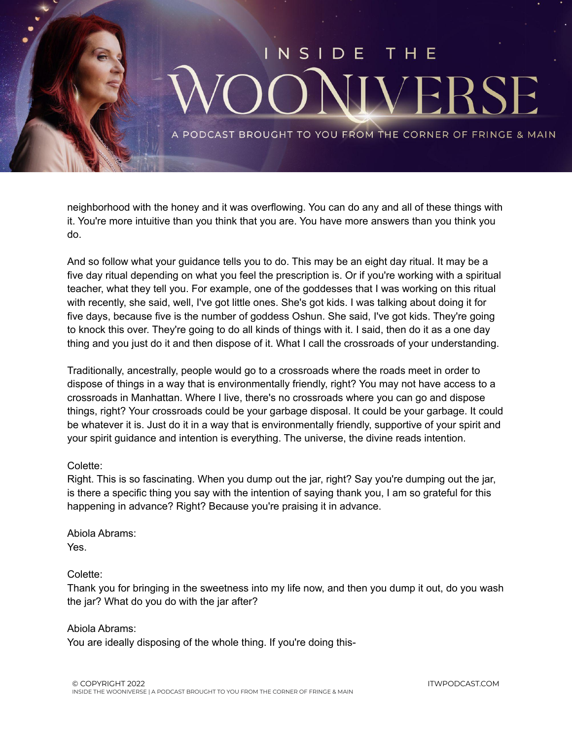

neighborhood with the honey and it was overflowing. You can do any and all of these things with it. You're more intuitive than you think that you are. You have more answers than you think you do.

And so follow what your guidance tells you to do. This may be an eight day ritual. It may be a five day ritual depending on what you feel the prescription is. Or if you're working with a spiritual teacher, what they tell you. For example, one of the goddesses that I was working on this ritual with recently, she said, well, I've got little ones. She's got kids. I was talking about doing it for five days, because five is the number of goddess Oshun. She said, I've got kids. They're going to knock this over. They're going to do all kinds of things with it. I said, then do it as a one day thing and you just do it and then dispose of it. What I call the crossroads of your understanding.

Traditionally, ancestrally, people would go to a crossroads where the roads meet in order to dispose of things in a way that is environmentally friendly, right? You may not have access to a crossroads in Manhattan. Where I live, there's no crossroads where you can go and dispose things, right? Your crossroads could be your garbage disposal. It could be your garbage. It could be whatever it is. Just do it in a way that is environmentally friendly, supportive of your spirit and your spirit guidance and intention is everything. The universe, the divine reads intention.

### Colette:

Right. This is so fascinating. When you dump out the jar, right? Say you're dumping out the jar, is there a specific thing you say with the intention of saying thank you, I am so grateful for this happening in advance? Right? Because you're praising it in advance.

Abiola Abrams: Yes.

### Colette:

Thank you for bringing in the sweetness into my life now, and then you dump it out, do you wash the jar? What do you do with the jar after?

Abiola Abrams:

You are ideally disposing of the whole thing. If you're doing this-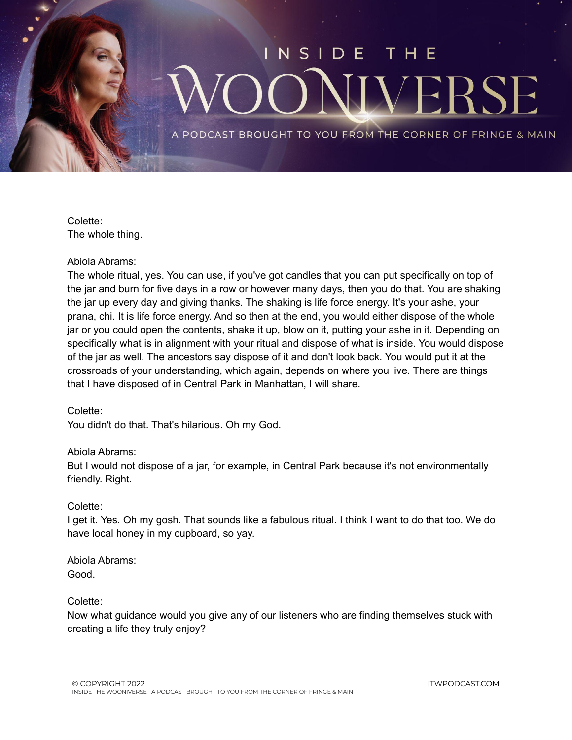

Colette: The whole thing.

### Abiola Abrams:

The whole ritual, yes. You can use, if you've got candles that you can put specifically on top of the jar and burn for five days in a row or however many days, then you do that. You are shaking the jar up every day and giving thanks. The shaking is life force energy. It's your ashe, your prana, chi. It is life force energy. And so then at the end, you would either dispose of the whole jar or you could open the contents, shake it up, blow on it, putting your ashe in it. Depending on specifically what is in alignment with your ritual and dispose of what is inside. You would dispose of the jar as well. The ancestors say dispose of it and don't look back. You would put it at the crossroads of your understanding, which again, depends on where you live. There are things that I have disposed of in Central Park in Manhattan, I will share.

### Colette:

You didn't do that. That's hilarious. Oh my God.

### Abiola Abrams:

But I would not dispose of a jar, for example, in Central Park because it's not environmentally friendly. Right.

### Colette:

I get it. Yes. Oh my gosh. That sounds like a fabulous ritual. I think I want to do that too. We do have local honey in my cupboard, so yay.

Abiola Abrams: Good.

### Colette:

Now what guidance would you give any of our listeners who are finding themselves stuck with creating a life they truly enjoy?

ITWPODCAST.COM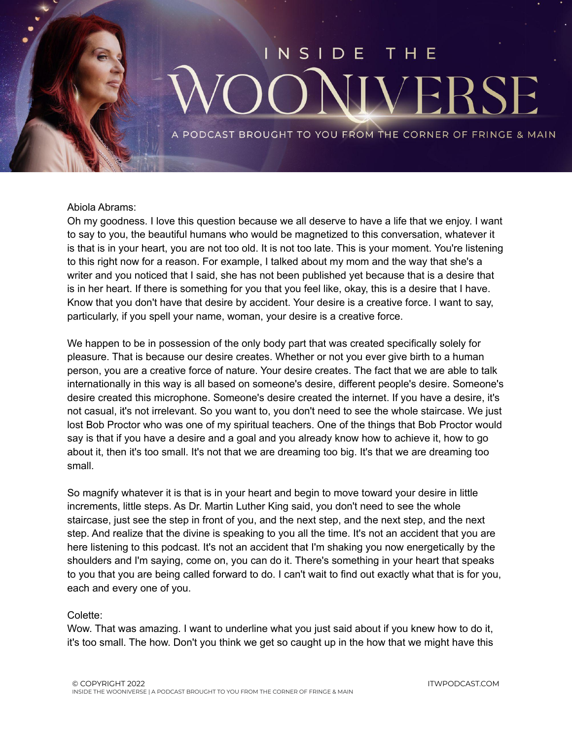# NSIDE **VERS**

PODCAST BROUGHT TO YOU FROM THE CORNER OF FRINGE & MAIN

### Abiola Abrams:

Oh my goodness. I love this question because we all deserve to have a life that we enjoy. I want to say to you, the beautiful humans who would be magnetized to this conversation, whatever it is that is in your heart, you are not too old. It is not too late. This is your moment. You're listening to this right now for a reason. For example, I talked about my mom and the way that she's a writer and you noticed that I said, she has not been published yet because that is a desire that is in her heart. If there is something for you that you feel like, okay, this is a desire that I have. Know that you don't have that desire by accident. Your desire is a creative force. I want to say, particularly, if you spell your name, woman, your desire is a creative force.

We happen to be in possession of the only body part that was created specifically solely for pleasure. That is because our desire creates. Whether or not you ever give birth to a human person, you are a creative force of nature. Your desire creates. The fact that we are able to talk internationally in this way is all based on someone's desire, different people's desire. Someone's desire created this microphone. Someone's desire created the internet. If you have a desire, it's not casual, it's not irrelevant. So you want to, you don't need to see the whole staircase. We just lost Bob Proctor who was one of my spiritual teachers. One of the things that Bob Proctor would say is that if you have a desire and a goal and you already know how to achieve it, how to go about it, then it's too small. It's not that we are dreaming too big. It's that we are dreaming too small.

So magnify whatever it is that is in your heart and begin to move toward your desire in little increments, little steps. As Dr. Martin Luther King said, you don't need to see the whole staircase, just see the step in front of you, and the next step, and the next step, and the next step. And realize that the divine is speaking to you all the time. It's not an accident that you are here listening to this podcast. It's not an accident that I'm shaking you now energetically by the shoulders and I'm saying, come on, you can do it. There's something in your heart that speaks to you that you are being called forward to do. I can't wait to find out exactly what that is for you, each and every one of you.

### Colette:

Wow. That was amazing. I want to underline what you just said about if you knew how to do it, it's too small. The how. Don't you think we get so caught up in the how that we might have this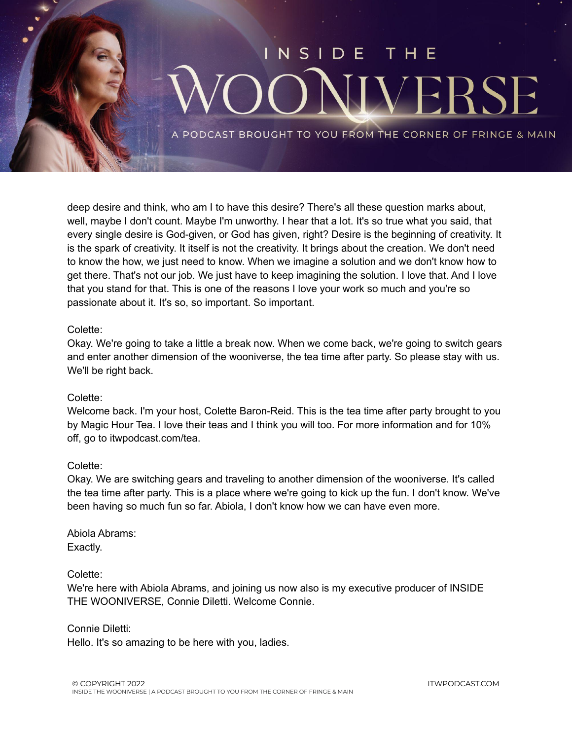

deep desire and think, who am I to have this desire? There's all these question marks about, well, maybe I don't count. Maybe I'm unworthy. I hear that a lot. It's so true what you said, that every single desire is God-given, or God has given, right? Desire is the beginning of creativity. It is the spark of creativity. It itself is not the creativity. It brings about the creation. We don't need to know the how, we just need to know. When we imagine a solution and we don't know how to get there. That's not our job. We just have to keep imagining the solution. I love that. And I love that you stand for that. This is one of the reasons I love your work so much and you're so passionate about it. It's so, so important. So important.

### Colette:

Okay. We're going to take a little a break now. When we come back, we're going to switch gears and enter another dimension of the wooniverse, the tea time after party. So please stay with us. We'll be right back.

### Colette:

Welcome back. I'm your host, Colette Baron-Reid. This is the tea time after party brought to you by Magic Hour Tea. I love their teas and I think you will too. For more information and for 10% off, go to itwpodcast.com/tea.

### Colette:

Okay. We are switching gears and traveling to another dimension of the wooniverse. It's called the tea time after party. This is a place where we're going to kick up the fun. I don't know. We've been having so much fun so far. Abiola, I don't know how we can have even more.

Abiola Abrams: Exactly.

### Colette:

We're here with Abiola Abrams, and joining us now also is my executive producer of INSIDE THE WOONIVERSE, Connie Diletti. Welcome Connie.

Connie Diletti: Hello. It's so amazing to be here with you, ladies.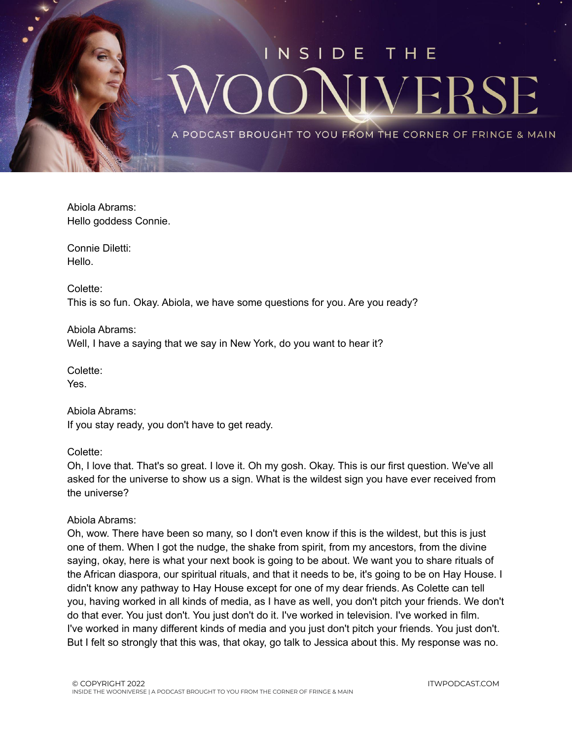

Abiola Abrams: Hello goddess Connie.

Connie Diletti: Hello.

Colette: This is so fun. Okay. Abiola, we have some questions for you. Are you ready?

Abiola Abrams: Well, I have a saying that we say in New York, do you want to hear it?

Colette: Yes.

Abiola Abrams: If you stay ready, you don't have to get ready.

Colette:

Oh, I love that. That's so great. I love it. Oh my gosh. Okay. This is our first question. We've all asked for the universe to show us a sign. What is the wildest sign you have ever received from the universe?

### Abiola Abrams:

Oh, wow. There have been so many, so I don't even know if this is the wildest, but this is just one of them. When I got the nudge, the shake from spirit, from my ancestors, from the divine saying, okay, here is what your next book is going to be about. We want you to share rituals of the African diaspora, our spiritual rituals, and that it needs to be, it's going to be on Hay House. I didn't know any pathway to Hay House except for one of my dear friends. As Colette can tell you, having worked in all kinds of media, as I have as well, you don't pitch your friends. We don't do that ever. You just don't. You just don't do it. I've worked in television. I've worked in film. I've worked in many different kinds of media and you just don't pitch your friends. You just don't. But I felt so strongly that this was, that okay, go talk to Jessica about this. My response was no.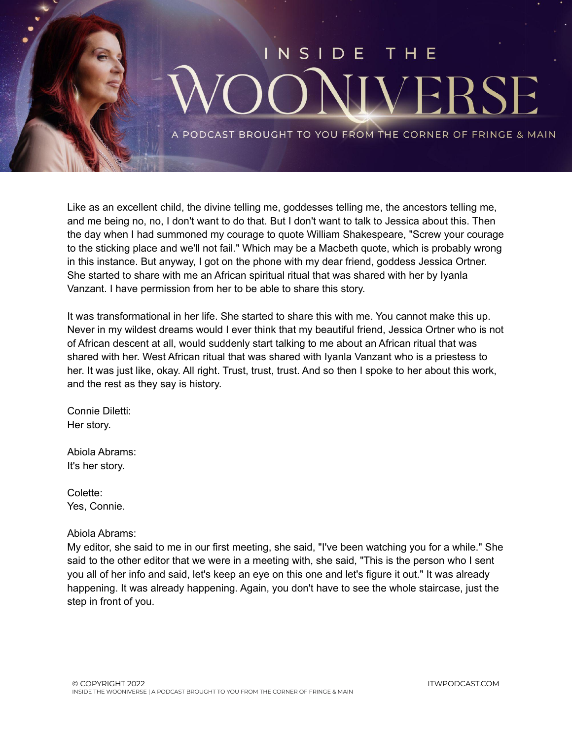

Like as an excellent child, the divine telling me, goddesses telling me, the ancestors telling me, and me being no, no, I don't want to do that. But I don't want to talk to Jessica about this. Then the day when I had summoned my courage to quote William Shakespeare, "Screw your courage to the sticking place and we'll not fail." Which may be a Macbeth quote, which is probably wrong in this instance. But anyway, I got on the phone with my dear friend, goddess Jessica Ortner. She started to share with me an African spiritual ritual that was shared with her by Iyanla Vanzant. I have permission from her to be able to share this story.

It was transformational in her life. She started to share this with me. You cannot make this up. Never in my wildest dreams would I ever think that my beautiful friend, Jessica Ortner who is not of African descent at all, would suddenly start talking to me about an African ritual that was shared with her. West African ritual that was shared with Iyanla Vanzant who is a priestess to her. It was just like, okay. All right. Trust, trust, trust. And so then I spoke to her about this work, and the rest as they say is history.

Connie Diletti: Her story.

Abiola Abrams: It's her story.

Colette: Yes, Connie.

Abiola Abrams:

My editor, she said to me in our first meeting, she said, "I've been watching you for a while." She said to the other editor that we were in a meeting with, she said, "This is the person who I sent you all of her info and said, let's keep an eye on this one and let's figure it out." It was already happening. It was already happening. Again, you don't have to see the whole staircase, just the step in front of you.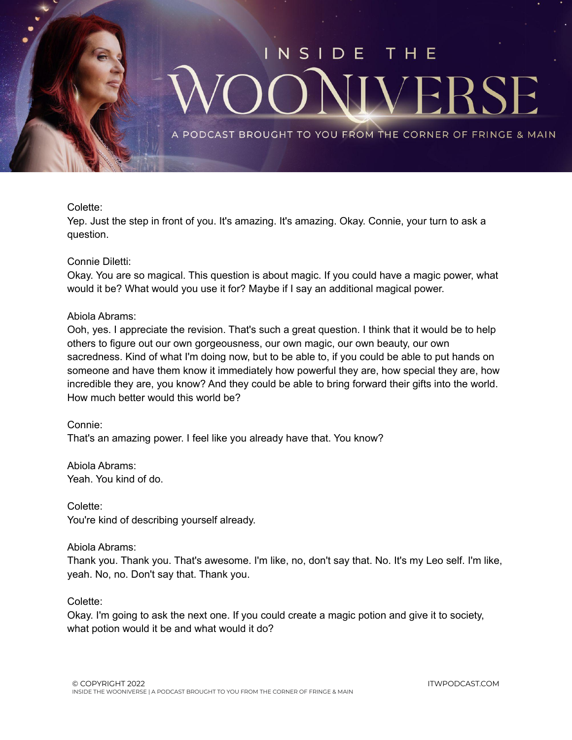

### Colette:

Yep. Just the step in front of you. It's amazing. It's amazing. Okay. Connie, your turn to ask a question.

### Connie Diletti:

Okay. You are so magical. This question is about magic. If you could have a magic power, what would it be? What would you use it for? Maybe if I say an additional magical power.

### Abiola Abrams:

Ooh, yes. I appreciate the revision. That's such a great question. I think that it would be to help others to figure out our own gorgeousness, our own magic, our own beauty, our own sacredness. Kind of what I'm doing now, but to be able to, if you could be able to put hands on someone and have them know it immediately how powerful they are, how special they are, how incredible they are, you know? And they could be able to bring forward their gifts into the world. How much better would this world be?

### Connie:

That's an amazing power. I feel like you already have that. You know?

Abiola Abrams: Yeah. You kind of do.

Colette:

You're kind of describing yourself already.

### Abiola Abrams:

Thank you. Thank you. That's awesome. I'm like, no, don't say that. No. It's my Leo self. I'm like, yeah. No, no. Don't say that. Thank you.

### Colette:

Okay. I'm going to ask the next one. If you could create a magic potion and give it to society, what potion would it be and what would it do?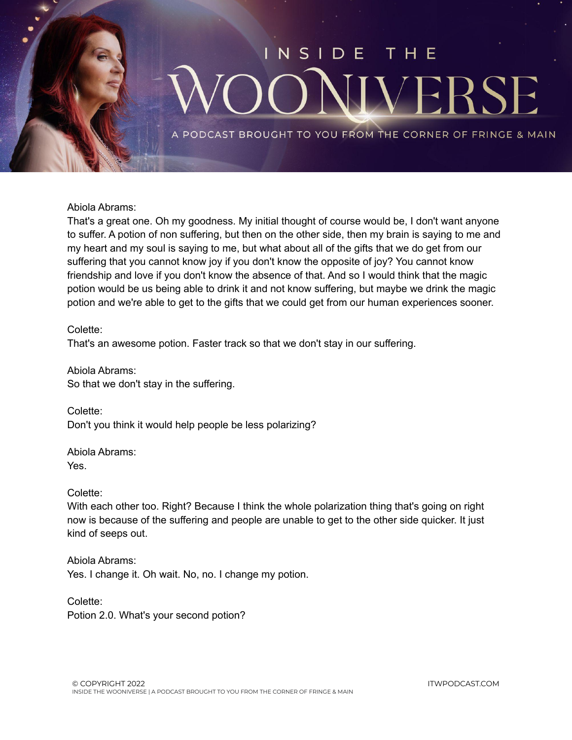

Abiola Abrams:

That's a great one. Oh my goodness. My initial thought of course would be, I don't want anyone to suffer. A potion of non suffering, but then on the other side, then my brain is saying to me and my heart and my soul is saying to me, but what about all of the gifts that we do get from our suffering that you cannot know joy if you don't know the opposite of joy? You cannot know friendship and love if you don't know the absence of that. And so I would think that the magic potion would be us being able to drink it and not know suffering, but maybe we drink the magic potion and we're able to get to the gifts that we could get from our human experiences sooner.

Colette: That's an awesome potion. Faster track so that we don't stay in our suffering.

Abiola Abrams: So that we don't stay in the suffering.

Colette: Don't you think it would help people be less polarizing?

Abiola Abrams: Yes.

Colette:

With each other too. Right? Because I think the whole polarization thing that's going on right now is because of the suffering and people are unable to get to the other side quicker. It just kind of seeps out.

Abiola Abrams: Yes. I change it. Oh wait. No, no. I change my potion.

Colette: Potion 2.0. What's your second potion?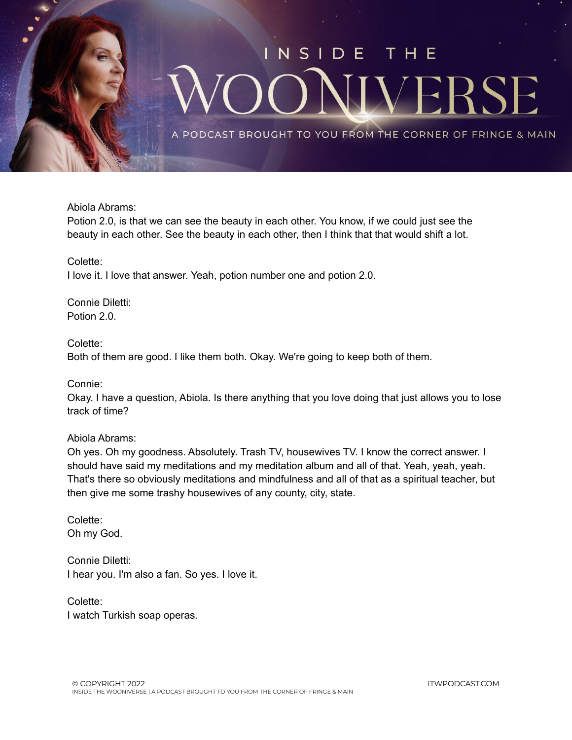

Abiola Abrams:

Potion 2.0, is that we can see the beauty in each other. You know, if we could just see the beauty in each other. See the beauty in each other, then I think that that would shift a lot.

Colette:

I love it. I love that answer. Yeah, potion number one and potion 2.0.

Connie Diletti: Potion 2.0.

### Colette:

Both of them are good. I like them both. Okay. We're going to keep both of them.

Connie:

Okay. I have a question, Abiola. Is there anything that you love doing that just allows you to lose track of time?

### Abiola Abrams:

Oh yes. Oh my goodness. Absolutely. Trash TV, housewives TV. I know the correct answer. I should have said my meditations and my meditation album and all of that. Yeah, yeah, yeah. That's there so obviously meditations and mindfulness and all of that as a spiritual teacher, but then give me some trashy housewives of any county, city, state.

Colette: Oh my God.

Connie Diletti: I hear you. I'm also a fan. So yes. I love it.

Colette: I watch Turkish soap operas.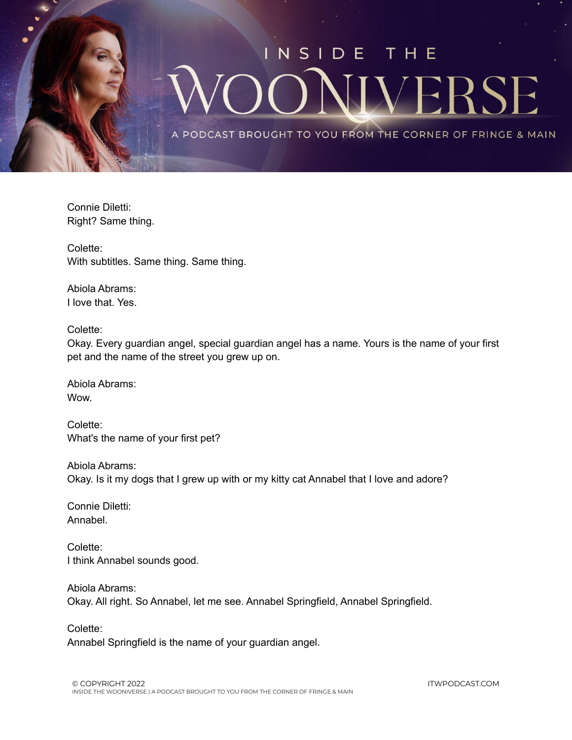

Connie Diletti: Right? Same thing.

Colette: With subtitles. Same thing. Same thing.

Abiola Abrams: I love that. Yes.

Colette:

Okay. Every guardian angel, special guardian angel has a name. Yours is the name of your first pet and the name of the street you grew up on.

Abiola Abrams: Wow.

Colette: What's the name of your first pet?

Abiola Abrams: Okay. Is it my dogs that I grew up with or my kitty cat Annabel that I love and adore?

Connie Diletti: Annabel.

Colette: I think Annabel sounds good.

Abiola Abrams: Okay. All right. So Annabel, let me see. Annabel Springfield, Annabel Springfield.

Colette:

Annabel Springfield is the name of your guardian angel.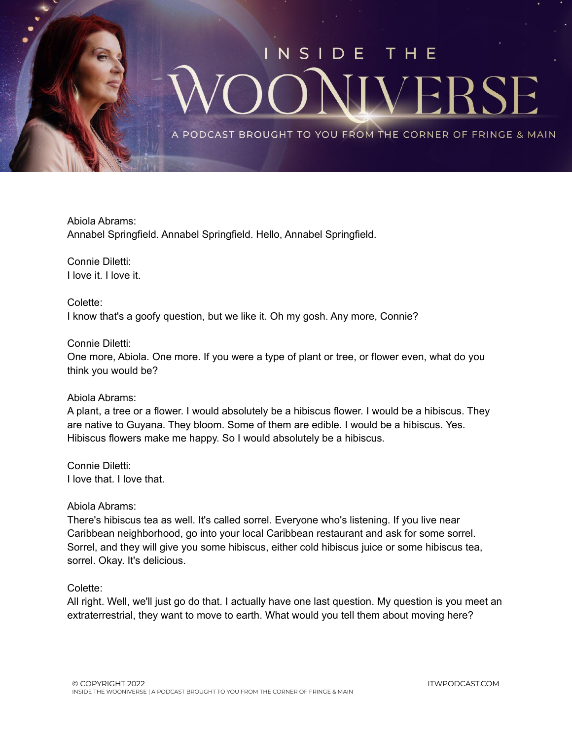

Abiola Abrams: Annabel Springfield. Annabel Springfield. Hello, Annabel Springfield.

Connie Diletti: I love it. I love it.

Colette: I know that's a goofy question, but we like it. Oh my gosh. Any more, Connie?

### Connie Diletti:

One more, Abiola. One more. If you were a type of plant or tree, or flower even, what do you think you would be?

### Abiola Abrams:

A plant, a tree or a flower. I would absolutely be a hibiscus flower. I would be a hibiscus. They are native to Guyana. They bloom. Some of them are edible. I would be a hibiscus. Yes. Hibiscus flowers make me happy. So I would absolutely be a hibiscus.

Connie Diletti: I love that. I love that.

### Abiola Abrams:

There's hibiscus tea as well. It's called sorrel. Everyone who's listening. If you live near Caribbean neighborhood, go into your local Caribbean restaurant and ask for some sorrel. Sorrel, and they will give you some hibiscus, either cold hibiscus juice or some hibiscus tea, sorrel. Okay. It's delicious.

### Colette:

All right. Well, we'll just go do that. I actually have one last question. My question is you meet an extraterrestrial, they want to move to earth. What would you tell them about moving here?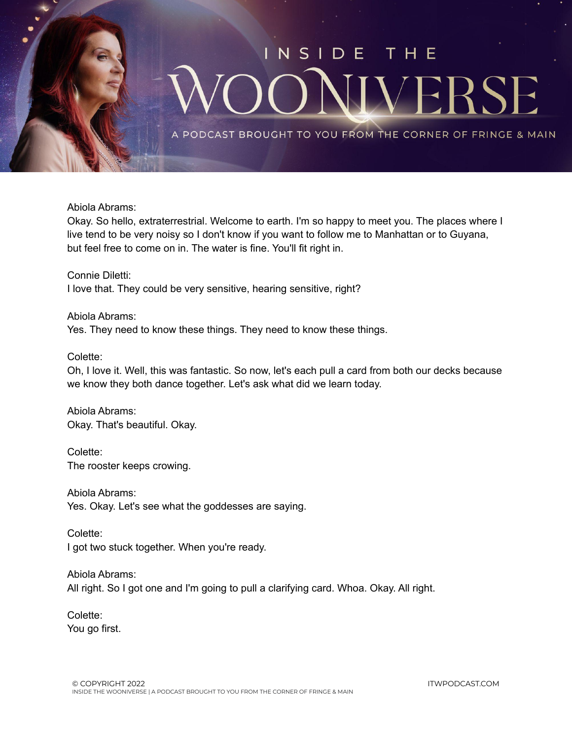

Abiola Abrams:

Okay. So hello, extraterrestrial. Welcome to earth. I'm so happy to meet you. The places where I live tend to be very noisy so I don't know if you want to follow me to Manhattan or to Guyana, but feel free to come on in. The water is fine. You'll fit right in.

Connie Diletti: I love that. They could be very sensitive, hearing sensitive, right?

Abiola Abrams: Yes. They need to know these things. They need to know these things.

### Colette:

Oh, I love it. Well, this was fantastic. So now, let's each pull a card from both our decks because we know they both dance together. Let's ask what did we learn today.

Abiola Abrams: Okay. That's beautiful. Okay.

Colette: The rooster keeps crowing.

Abiola Abrams: Yes. Okay. Let's see what the goddesses are saying.

Colette: I got two stuck together. When you're ready.

Abiola Abrams: All right. So I got one and I'm going to pull a clarifying card. Whoa. Okay. All right.

Colette: You go first.

ITWPODCAST.COM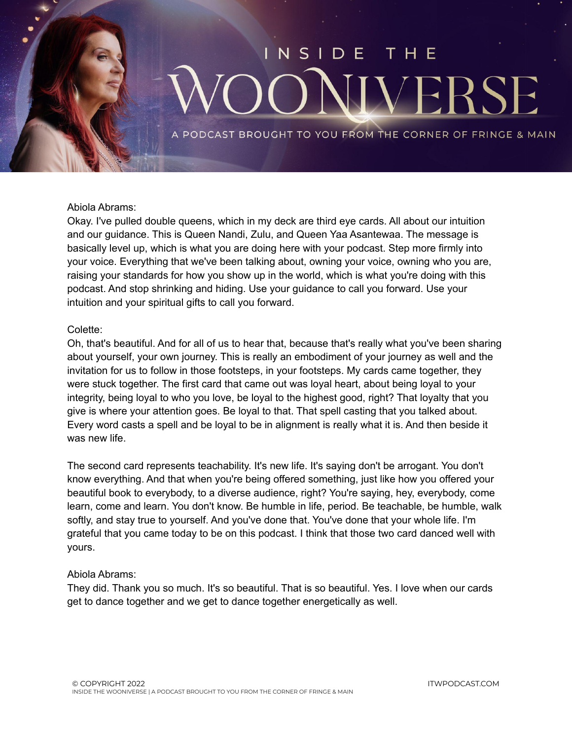### $N$  S I DE VEI 35

PODCAST BROUGHT TO YOU FROM THE CORNER OF FRINGE & MAIN

### Abiola Abrams:

Okay. I've pulled double queens, which in my deck are third eye cards. All about our intuition and our guidance. This is Queen Nandi, Zulu, and Queen Yaa Asantewaa. The message is basically level up, which is what you are doing here with your podcast. Step more firmly into your voice. Everything that we've been talking about, owning your voice, owning who you are, raising your standards for how you show up in the world, which is what you're doing with this podcast. And stop shrinking and hiding. Use your guidance to call you forward. Use your intuition and your spiritual gifts to call you forward.

### Colette:

Oh, that's beautiful. And for all of us to hear that, because that's really what you've been sharing about yourself, your own journey. This is really an embodiment of your journey as well and the invitation for us to follow in those footsteps, in your footsteps. My cards came together, they were stuck together. The first card that came out was loyal heart, about being loyal to your integrity, being loyal to who you love, be loyal to the highest good, right? That loyalty that you give is where your attention goes. Be loyal to that. That spell casting that you talked about. Every word casts a spell and be loyal to be in alignment is really what it is. And then beside it was new life.

The second card represents teachability. It's new life. It's saying don't be arrogant. You don't know everything. And that when you're being offered something, just like how you offered your beautiful book to everybody, to a diverse audience, right? You're saying, hey, everybody, come learn, come and learn. You don't know. Be humble in life, period. Be teachable, be humble, walk softly, and stay true to yourself. And you've done that. You've done that your whole life. I'm grateful that you came today to be on this podcast. I think that those two card danced well with yours.

### Abiola Abrams:

They did. Thank you so much. It's so beautiful. That is so beautiful. Yes. I love when our cards get to dance together and we get to dance together energetically as well.